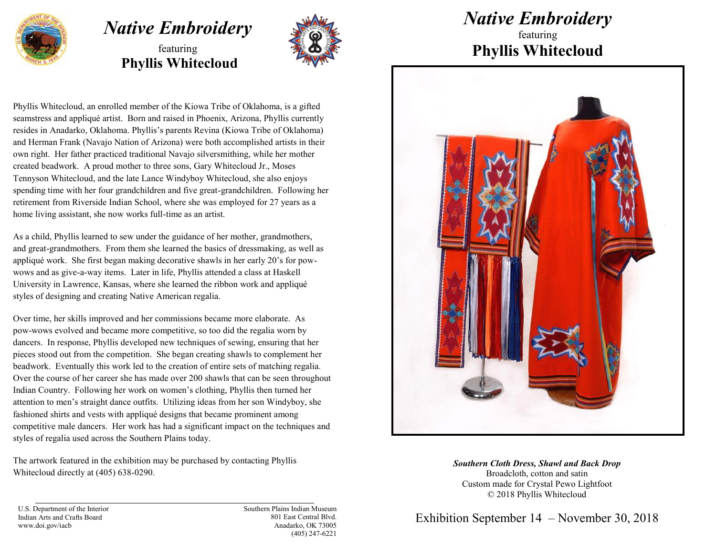

## *Native Embroidery*  featuring

**Phyllis Whitecloud**



Phyllis Whitecloud, an enrolled member of the Kiowa Tribe of Oklahoma, is a gifted seamstress and appliqué artist. Born and raised in Phoenix, Arizona, Phyllis currently resides in Anadarko, Oklahoma. Phyllis's parents Revina (Kiowa Tribe of Oklahoma) and Herman Frank (Navajo Nation of Arizona) were both accomplished artists in their own right. Her father practiced traditional Navajo silversmithing, while her mother created beadwork. A proud mother to three sons, Gary Whitecloud Jr., Moses Tennyson Whitecloud, and the late Lance Windyboy Whitecloud, she also enjoys spending time with her four grandchildren and five great-grandchildren. Following her retirement from Riverside Indian School, where she was employed for 27 years as a home living assistant, she now works full-time as an artist.

As a child, Phyllis learned to sew under the guidance of her mother, grandmothers, and great-grandmothers. From them she learned the basics of dressmaking, as well as appliqué work. She first began making decorative shawls in her early 20's for powwows and as give-a-way items. Later in life, Phyllis attended a class at Haskell University in Lawrence, Kansas, where she learned the ribbon work and appliqué styles of designing and creating Native American regalia.

Over time, her skills improved and her commissions became more elaborate. As pow-wows evolved and became more competitive, so too did the regalia worn by dancers. In response, Phyllis developed new techniques of sewing, ensuring that her pieces stood out from the competition. She began creating shawls to complement her beadwork. Eventually this work led to the creation of entire sets of matching regalia. Over the course of her career she has made over 200 shawls that can be seen throughout Indian Country. Following her work on women's clothing, Phyllis then turned her attention to men's straight dance outfits. Utilizing ideas from her son Windyboy, she fashioned shirts and vests with appliqué designs that became prominent among competitive male dancers. Her work has had a significant impact on the techniques and styles of regalia used across the Southern Plains today.

The artwork featured in the exhibition may be purchased by contacting Phyllis Whitecloud directly at (405) 638-0290.

## *Native Embroidery*

featuring **Phyllis Whitecloud**



*Southern Cloth Dress, Shawl and Back Drop* Broadcloth, cotton and satin Custom made for Crystal Pewo Lightfoot © 2018 Phyllis Whitecloud

Exhibition September 14 – November 30, 2018

U.S. Department of the Interior Indian Arts and Crafts Board www.doi.gov/iacb

Southern Plains Indian Museum 801 East Central Blvd. Anadarko, OK 73005 (405) 247-6221